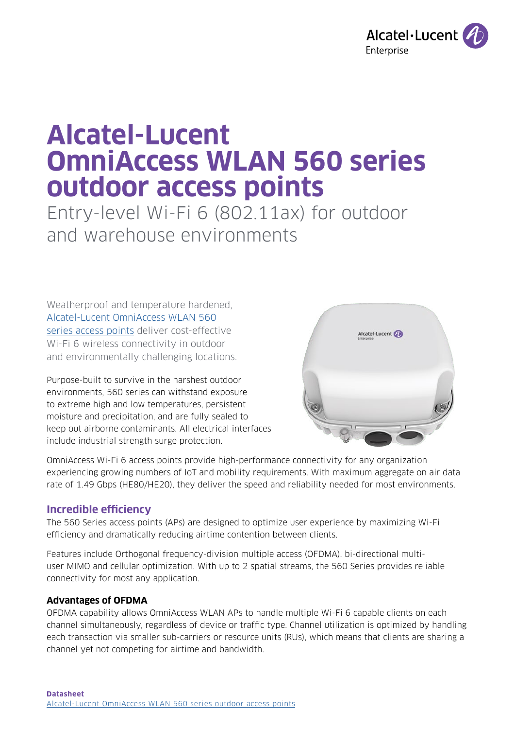

# **Alcatel-Lucent OmniAccess WLAN 560 series outdoor access points**

Entry-level Wi-Fi 6 (802.11ax) for outdoor and warehouse environments

Weatherproof and temperature hardened, [Alcatel-Lucent OmniAccess WLAN 560](https://www.al-enterprise.com/en/products/wlan/omniaccess-wlan-controllers?utm_source=digital-asset&utm_medium=pdf&utm_campaign=doc-link)  [series access points](https://www.al-enterprise.com/en/products/wlan/omniaccess-wlan-controllers?utm_source=digital-asset&utm_medium=pdf&utm_campaign=doc-link) deliver cost-effective Wi-Fi 6 wireless connectivity in outdoor and environmentally challenging locations.

Purpose-built to survive in the harshest outdoor environments, 560 series can withstand exposure to extreme high and low temperatures, persistent moisture and precipitation, and are fully sealed to keep out airborne contaminants. All electrical interfaces include industrial strength surge protection.



OmniAccess Wi-Fi 6 access points provide high-performance connectivity for any organization experiencing growing numbers of IoT and mobility requirements. With maximum aggregate on air data rate of 1.49 Gbps (HE80/HE20), they deliver the speed and reliability needed for most environments.

# **Incredible efficiency**

The 560 Series access points (APs) are designed to optimize user experience by maximizing Wi-Fi efficiency and dramatically reducing airtime contention between clients.

Features include Orthogonal frequency-division multiple access (OFDMA), bi-directional multiuser MIMO and cellular optimization. With up to 2 spatial streams, the 560 Series provides reliable connectivity for most any application.

## **Advantages of OFDMA**

OFDMA capability allows OmniAccess WLAN APs to handle multiple Wi-Fi 6 capable clients on each channel simultaneously, regardless of device or traffic type. Channel utilization is optimized by handling each transaction via smaller sub-carriers or resource units (RUs), which means that clients are sharing a channel yet not competing for airtime and bandwidth.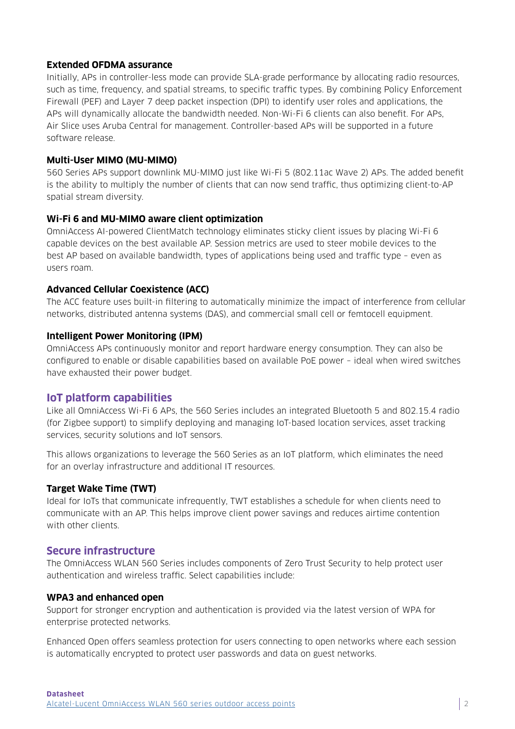## **Extended OFDMA assurance**

Initially, APs in controller-less mode can provide SLA-grade performance by allocating radio resources, such as time, frequency, and spatial streams, to specific traffic types. By combining Policy Enforcement Firewall (PEF) and Layer 7 deep packet inspection (DPI) to identify user roles and applications, the APs will dynamically allocate the bandwidth needed. Non-Wi-Fi 6 clients can also benefit. For APs, Air Slice uses Aruba Central for management. Controller-based APs will be supported in a future software release.

## **Multi-User MIMO (MU-MIMO)**

560 Series APs support downlink MU-MIMO just like Wi-Fi 5 (802.11ac Wave 2) APs. The added benefit is the ability to multiply the number of clients that can now send traffic, thus optimizing client-to-AP spatial stream diversity.

## **Wi-Fi 6 and MU-MIMO aware client optimization**

OmniAccess AI-powered ClientMatch technology eliminates sticky client issues by placing Wi-Fi 6 capable devices on the best available AP. Session metrics are used to steer mobile devices to the best AP based on available bandwidth, types of applications being used and traffic type – even as users roam.

#### **Advanced Cellular Coexistence (ACC)**

The ACC feature uses built-in filtering to automatically minimize the impact of interference from cellular networks, distributed antenna systems (DAS), and commercial small cell or femtocell equipment.

#### **Intelligent Power Monitoring (IPM)**

OmniAccess APs continuously monitor and report hardware energy consumption. They can also be configured to enable or disable capabilities based on available PoE power – ideal when wired switches have exhausted their power budget.

## **IoT platform capabilities**

Like all OmniAccess Wi-Fi 6 APs, the 560 Series includes an integrated Bluetooth 5 and 802.15.4 radio (for Zigbee support) to simplify deploying and managing IoT-based location services, asset tracking services, security solutions and IoT sensors.

This allows organizations to leverage the 560 Series as an IoT platform, which eliminates the need for an overlay infrastructure and additional IT resources.

#### **Target Wake Time (TWT)**

Ideal for IoTs that communicate infrequently, TWT establishes a schedule for when clients need to communicate with an AP. This helps improve client power savings and reduces airtime contention with other clients.

## **Secure infrastructure**

The OmniAccess WLAN 560 Series includes components of Zero Trust Security to help protect user authentication and wireless traffic. Select capabilities include:

#### **WPA3 and enhanced open**

Support for stronger encryption and authentication is provided via the latest version of WPA for enterprise protected networks.

Enhanced Open offers seamless protection for users connecting to open networks where each session is automatically encrypted to protect user passwords and data on guest networks.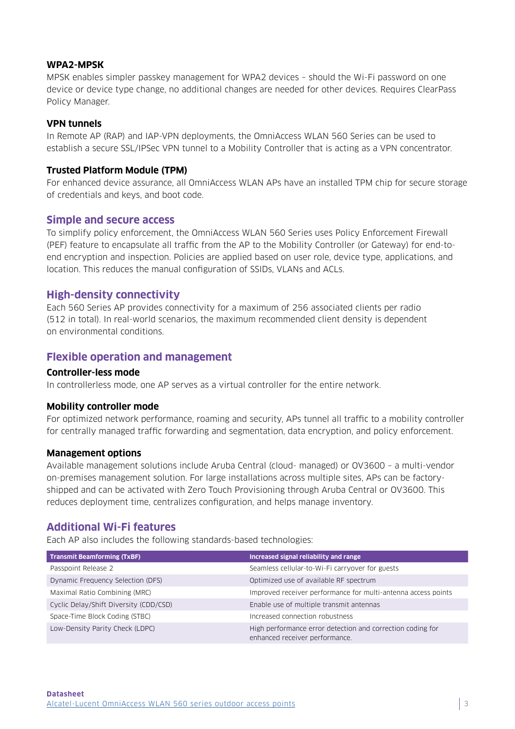## **WPA2-MPSK**

MPSK enables simpler passkey management for WPA2 devices – should the Wi-Fi password on one device or device type change, no additional changes are needed for other devices. Requires ClearPass Policy Manager.

## **VPN tunnels**

In Remote AP (RAP) and IAP-VPN deployments, the OmniAccess WLAN 560 Series can be used to establish a secure SSL/IPSec VPN tunnel to a Mobility Controller that is acting as a VPN concentrator.

#### **Trusted Platform Module (TPM)**

For enhanced device assurance, all OmniAccess WLAN APs have an installed TPM chip for secure storage of credentials and keys, and boot code.

## **Simple and secure access**

To simplify policy enforcement, the OmniAccess WLAN 560 Series uses Policy Enforcement Firewall (PEF) feature to encapsulate all traffic from the AP to the Mobility Controller (or Gateway) for end-toend encryption and inspection. Policies are applied based on user role, device type, applications, and location. This reduces the manual configuration of SSIDs, VLANs and ACLs.

## **High-density connectivity**

Each 560 Series AP provides connectivity for a maximum of 256 associated clients per radio (512 in total). In real-world scenarios, the maximum recommended client density is dependent on environmental conditions.

## **Flexible operation and management**

#### **Controller-less mode**

In controllerless mode, one AP serves as a virtual controller for the entire network.

#### **Mobility controller mode**

For optimized network performance, roaming and security, APs tunnel all traffic to a mobility controller for centrally managed traffic forwarding and segmentation, data encryption, and policy enforcement.

#### **Management options**

Available management solutions include Aruba Central (cloud- managed) or OV3600 – a multi-vendor on-premises management solution. For large installations across multiple sites, APs can be factoryshipped and can be activated with Zero Touch Provisioning through Aruba Central or OV3600. This reduces deployment time, centralizes configuration, and helps manage inventory.

## **Additional Wi-Fi features**

Each AP also includes the following standards-based technologies:

| <b>Transmit Beamforming (TxBF)</b>     | Increased signal reliability and range                                                       |
|----------------------------------------|----------------------------------------------------------------------------------------------|
| Passpoint Release 2                    | Seamless cellular-to-Wi-Fi carryover for guests                                              |
| Dynamic Frequency Selection (DFS)      | Optimized use of available RF spectrum                                                       |
| Maximal Ratio Combining (MRC)          | Improved receiver performance for multi-antenna access points                                |
| Cyclic Delay/Shift Diversity (CDD/CSD) | Enable use of multiple transmit antennas                                                     |
| Space-Time Block Coding (STBC)         | Increased connection robustness                                                              |
| Low-Density Parity Check (LDPC)        | High performance error detection and correction coding for<br>enhanced receiver performance. |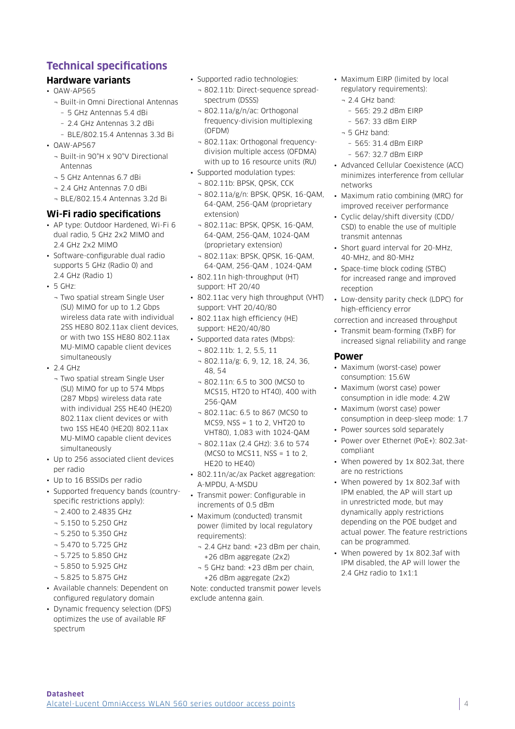# **Technical specifications**

## **Hardware variants**

- OAW-AP565
	- ¬ Built-in Omni Directional Antennas
		- 5 GHz Antennas 5.4 dBi – 2.4 GHz Antennas 3.2 dBi
		- BLE/802.15.4 Antennas 3.3d Bi
- OAW-AP567
	- ¬ Built-in 90°H x 90°V Directional Antennas
	- ¬ 5 GHz Antennas 6.7 dBi
	- ¬ 2.4 GHz Antennas 7.0 dBi
	- ¬ BLE/802.15.4 Antennas 3.2d Bi

#### **Wi-Fi radio specifications**

- AP type: Outdoor Hardened, Wi-Fi 6 dual radio, 5 GHz 2x2 MIMO and 2.4 GHz 2x2 MIMO
- Software-configurable dual radio supports 5 GHz (Radio 0) and 2.4 GHz (Radio 1)
- 5 GHz:
	- ¬ Two spatial stream Single User (SU) MIMO for up to 1.2 Gbps wireless data rate with individual 2SS HE80 802.11ax client devices, or with two 1SS HE80 802.11ax MU-MIMO capable client devices simultaneously
- $.24$  GHz
	- ¬ Two spatial stream Single User (SU) MIMO for up to 574 Mbps (287 Mbps) wireless data rate with individual 2SS HE40 (HE20) 802.11ax client devices or with two 1SS HE40 (HE20) 802.11ax MU-MIMO capable client devices simultaneously
- Up to 256 associated client devices per radio
- Up to 16 BSSIDs per radio
- Supported frequency bands (countryspecific restrictions apply):
	- ¬ 2.400 to 2.4835 GHz
	- ¬ 5.150 to 5.250 GHz
	- ¬ 5.250 to 5.350 GHz
	- ¬ 5.470 to 5.725 GHz
	- ¬ 5.725 to 5.850 GHz
	- ¬ 5.850 to 5.925 GHz
	- ¬ 5.825 to 5.875 GHz
- Available channels: Dependent on configured regulatory domain
- Dynamic frequency selection (DFS) optimizes the use of available RF spectrum
- Supported radio technologies:
	- ¬ 802.11b: Direct-sequence spreadspectrum (DSSS)
	- ¬ 802.11a/g/n/ac: Orthogonal frequency-division multiplexing (OFDM)
	- ¬ 802.11ax: Orthogonal frequencydivision multiple access (OFDMA) with up to 16 resource units (RU)
- Supported modulation types:
	- ¬ 802.11b: BPSK, QPSK, CCK
	- ¬ 802.11a/g/n: BPSK, QPSK, 16-QAM, 64-QAM, 256-QAM (proprietary extension)
	- ¬ 802.11ac: BPSK, QPSK, 16-QAM, 64-QAM, 256-QAM, 1024-QAM (proprietary extension)
- ¬ 802.11ax: BPSK, QPSK, 16-QAM, 64-QAM, 256-QAM , 1024-QAM
- 802.11n high-throughput (HT) support: HT 20/40
- 802.11ac very high throughput (VHT) support: VHT 20/40/80
- 802.11ax high efficiency (HE) support: HE20/40/80
- Supported data rates (Mbps):
	- ¬ 802.11b: 1, 2, 5.5, 11
	- ¬ 802.11a/g: 6, 9, 12, 18, 24, 36, 48, 54
	- ¬ 802.11n: 6.5 to 300 (MCS0 to MCS15, HT20 to HT40), 400 with 256-QAM
	- ¬ 802.11ac: 6.5 to 867 (MCS0 to MCS9, NSS = 1 to 2, VHT20 to VHT80), 1,083 with 1024-QAM
	- $-802.11ax (2.4 GHz)$ : 3.6 to 574 (MCSO to MCS11, NSS =  $1$  to  $2$ , HE20 to HE40)
- 802.11n/ac/ax Packet aggregation: A-MPDU, A-MSDU
- Transmit power: Configurable in increments of 0.5 dBm
- Maximum (conducted) transmit power (limited by local regulatory requirements):
	- ¬ 2.4 GHz band: +23 dBm per chain, +26 dBm aggregate (2x2)
	- ¬ 5 GHz band: +23 dBm per chain, +26 dBm aggregate (2x2)

Note: conducted transmit power levels exclude antenna gain.

- Maximum EIRP (limited by local regulatory requirements):
	- ¬ 2.4 GHz band:
		- 565: 29.2 dBm EIRP
	- 567: 33 dBm EIRP
	- ¬ 5 GHz band:
	- 565: 31.4 dBm EIRP
	- 567: 32.7 dBm EIRP
- Advanced Cellular Coexistence (ACC) minimizes interference from cellular networks
- Maximum ratio combining (MRC) for improved receiver performance
- Cyclic delay/shift diversity (CDD/ CSD) to enable the use of multiple transmit antennas
- Short guard interval for 20-MHz, 40-MHz, and 80-MHz
- Space-time block coding (STBC) for increased range and improved reception
- Low-density parity check (LDPC) for high-efficiency error
- correction and increased throughput
- Transmit beam-forming (TxBF) for increased signal reliability and range

#### **Power**

- Maximum (worst-case) power consumption: 15.6W
- Maximum (worst case) power consumption in idle mode: 4.2W
- Maximum (worst case) power consumption in deep-sleep mode: 1.7
- Power sources sold separately
- Power over Ethernet (PoE+): 802.3atcompliant
- When powered by 1x 802.3at, there are no restrictions
- When powered by 1x 802.3af with IPM enabled, the AP will start up in unrestricted mode, but may dynamically apply restrictions depending on the POE budget and actual power. The feature restrictions can be programmed.
- When powered by 1x 802.3af with IPM disabled, the AP will lower the 2.4 GHz radio to 1x1:1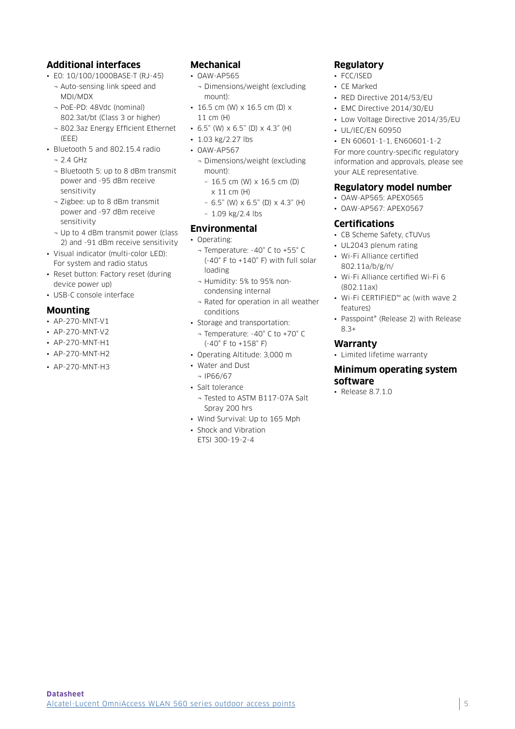## **Additional interfaces**

- E0: 10/100/1000BASE-T (RJ-45)
	- ¬ Auto-sensing link speed and MDI/MDX
	- ¬ PoE-PD: 48Vdc (nominal) 802.3at/bt (Class 3 or higher)
	- ¬ 802.3az Energy Efficient Ethernet (EEE)
- Bluetooth 5 and 802.15.4 radio
	- $-21$  GHz
	- ¬ Bluetooth 5: up to 8 dBm transmit power and -95 dBm receive sensitivity
	- ¬ Zigbee: up to 8 dBm transmit power and -97 dBm receive sensitivity
	- ¬ Up to 4 dBm transmit power (class 2) and -91 dBm receive sensitivity
- Visual indicator (multi-color LED): For system and radio status
- Reset button: Factory reset (during device power up)
- USB-C console interface

## **Mounting**

- AP-270-MNT-V1
- AP-270-MNT-V2
- AP-270-MNT-H1
- AP-270-MNT-H2
- AP-270-MNT-H3

## **Mechanical**

- OAW-AP565
- ¬ Dimensions/weight (excluding mount):
- 16.5 cm (W) x 16.5 cm (D) x 11 cm (H)
- 6.5" (W)  $\times$  6.5" (D)  $\times$  4.3" (H)
- 1.03 kg/2.27 lbs
- OAW-AP567
	- ¬ Dimensions/weight (excluding mount):
		- 16.5 cm (W) x 16.5 cm (D) x 11 cm (H)
		- $-$  6.5" (W)  $\times$  6.5" (D)  $\times$  4.3" (H)
		- 1.09 kg/2.4 lbs

## **Environmental**

#### • Operating:

- ¬ Temperature: -40° C to +55° C (-40° F to +140° F) with full solar loading
- ¬ Humidity: 5% to 95% noncondensing internal
- ¬ Rated for operation in all weather conditions
- Storage and transportation:
	- ¬ Temperature: -40° C to +70° C (-40° F to +158° F)
- Operating Altitude: 3,000 m
- Water and Dust
- ¬ IP66/67
- Salt tolerance
- ¬ Tested to ASTM B117-07A Salt Spray 200 hrs
- Wind Survival: Up to 165 Mph • Shock and Vibration
- ETSI 300-19-2-4

## **Regulatory**

- FCC/ISED
- CE Marked
- RED Directive 2014/53/EU
- EMC Directive 2014/30/EU
- Low Voltage Directive 2014/35/EU
- UL/IEC/EN 60950

• EN 60601-1-1, EN60601-1-2 For more country-specific regulatory information and approvals, please see your ALE representative.

## **Regulatory model number**

- OAW-AP565: APEX0565
- OAW-AP567: APEX0567

#### **Certifications**

- CB Scheme Safety, cTUVus
- UL2043 plenum rating
- Wi-Fi Alliance certified 802.11a/b/g/n/
- Wi-Fi Alliance certified Wi-Fi 6 (802.11ax)
- Wi-Fi CERTIFIED™ ac (with wave 2 features)
- Passpoint® (Release 2) with Release 8.3+

#### **Warranty**

• Limited lifetime warranty

#### **Minimum operating system software**

• Release 8.7.1.0